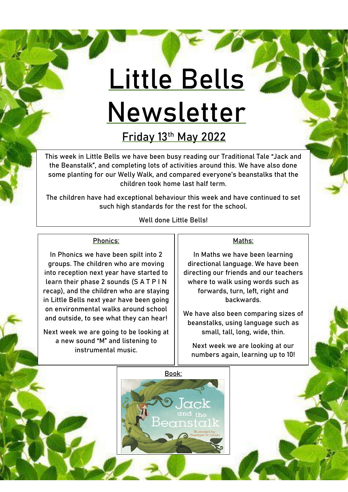# **Little Bells Newsletter**

**Friday 13th May 2022**

This week in Little Bells we have been busy reading our Traditional Tale "Jack and the Beanstalk", and completing lots of activities around this. We have also done some planting for our Welly Walk, and compared everyone's beanstalks that the children took home last half term.

The children have had exceptional behaviour this week and have continued to set such high standards for the rest for the school.

Well done Little Bells!

# Phonics:

In Phonics we have been spilt into 2 groups. The children who are moving into reception next year have started to learn their phase 2 sounds (S A T P I N recap), and the children who are staying in Little Bells next year have been going on environmental walks around school and outside, to see what they can hear!

Next week we are going to be looking at a new sound "M" and listening to instrumental music.

## Maths:

In Maths we have been learning directional language. We have been directing our friends and our teachers where to walk using words such as forwards, turn, left, right and backwards.

We have also been comparing sizes of beanstalks, using language such as small, tall, long, wide, thin.

Next week we are looking at our numbers again, learning up to 10!